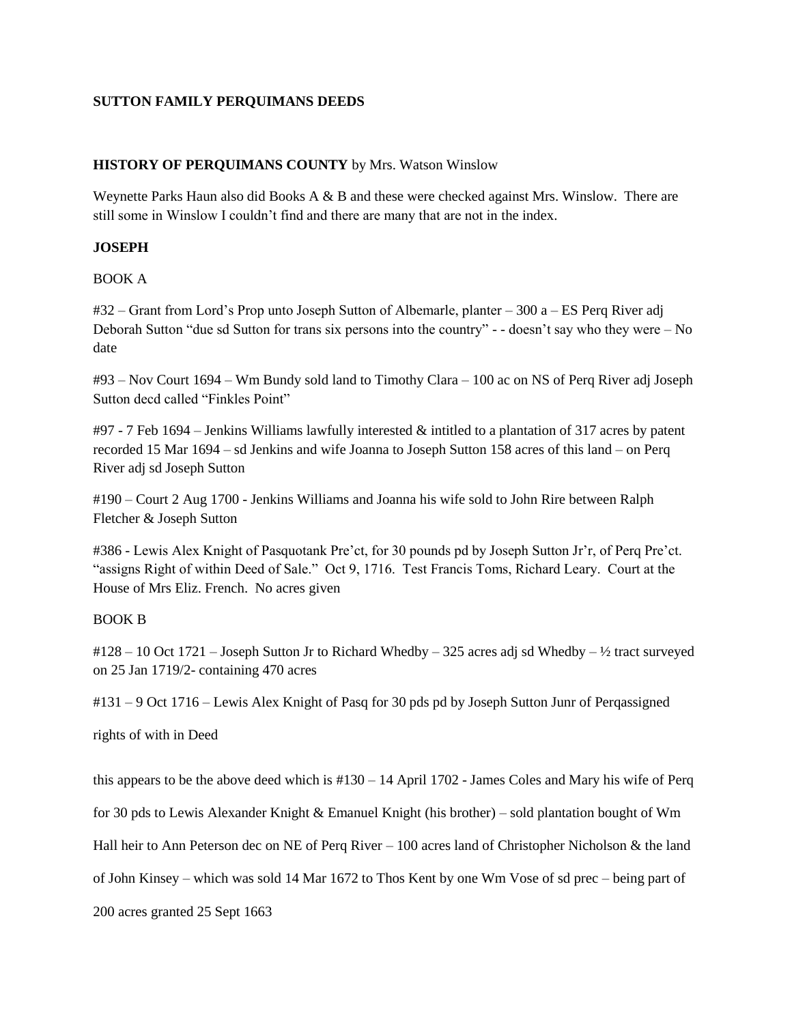## **SUTTON FAMILY PERQUIMANS DEEDS**

### **HISTORY OF PERQUIMANS COUNTY** by Mrs. Watson Winslow

Weynette Parks Haun also did Books A & B and these were checked against Mrs. Winslow. There are still some in Winslow I couldn't find and there are many that are not in the index.

## **JOSEPH**

## BOOK A

#32 – Grant from Lord's Prop unto Joseph Sutton of Albemarle, planter – 300 a – ES Perq River adj Deborah Sutton "due sd Sutton for trans six persons into the country" - - doesn't say who they were – No date

#93 – Nov Court 1694 – Wm Bundy sold land to Timothy Clara – 100 ac on NS of Perq River adj Joseph Sutton decd called "Finkles Point"

 $\#97$  - 7 Feb 1694 – Jenkins Williams lawfully interested & intitled to a plantation of 317 acres by patent recorded 15 Mar 1694 – sd Jenkins and wife Joanna to Joseph Sutton 158 acres of this land – on Perq River adj sd Joseph Sutton

#190 – Court 2 Aug 1700 - Jenkins Williams and Joanna his wife sold to John Rire between Ralph Fletcher & Joseph Sutton

#386 - Lewis Alex Knight of Pasquotank Pre'ct, for 30 pounds pd by Joseph Sutton Jr'r, of Perq Pre'ct. "assigns Right of within Deed of Sale." Oct 9, 1716. Test Francis Toms, Richard Leary. Court at the House of Mrs Eliz. French. No acres given

### BOOK B

#128 – 10 Oct 1721 – Joseph Sutton Jr to Richard Whedby – 325 acres adj sd Whedby – ½ tract surveyed on 25 Jan 1719/2- containing 470 acres

#131 – 9 Oct 1716 – Lewis Alex Knight of Pasq for 30 pds pd by Joseph Sutton Junr of Perqassigned

rights of with in Deed

this appears to be the above deed which is #130 – 14 April 1702 - James Coles and Mary his wife of Perq

for 30 pds to Lewis Alexander Knight & Emanuel Knight (his brother) – sold plantation bought of Wm

Hall heir to Ann Peterson dec on NE of Perq River – 100 acres land of Christopher Nicholson & the land

of John Kinsey – which was sold 14 Mar 1672 to Thos Kent by one Wm Vose of sd prec – being part of

200 acres granted 25 Sept 1663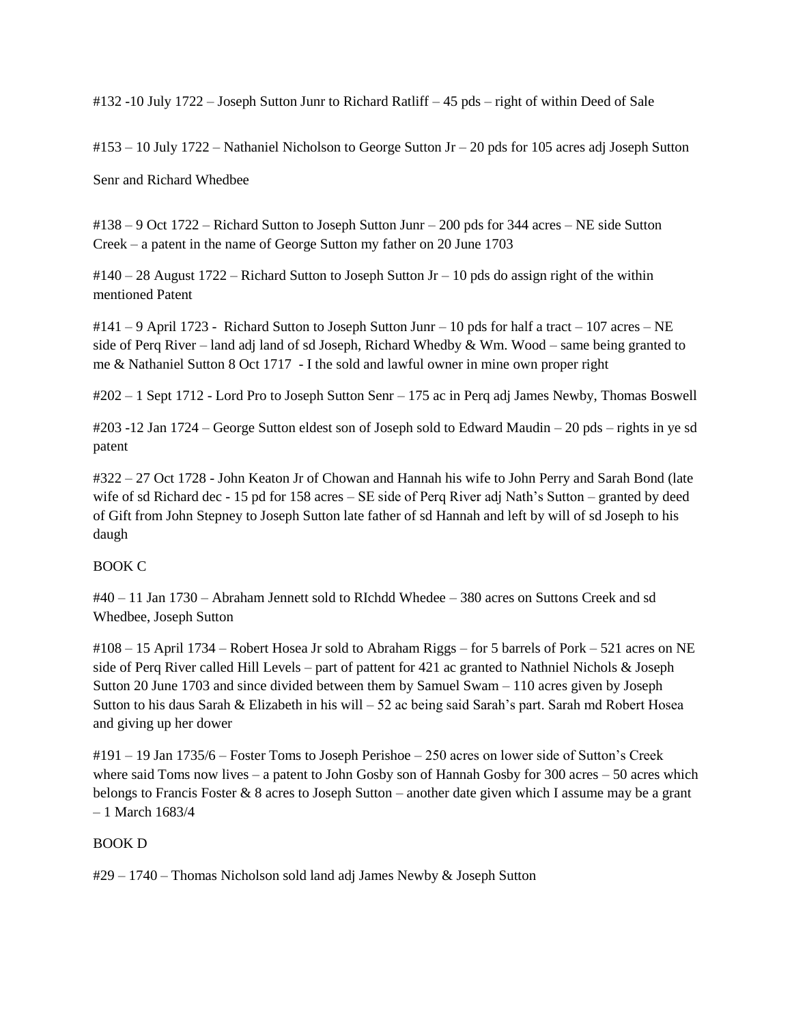#132 -10 July 1722 – Joseph Sutton Junr to Richard Ratliff – 45 pds – right of within Deed of Sale

#153 – 10 July 1722 – Nathaniel Nicholson to George Sutton Jr – 20 pds for 105 acres adj Joseph Sutton

Senr and Richard Whedbee

#138 – 9 Oct 1722 – Richard Sutton to Joseph Sutton Junr – 200 pds for 344 acres – NE side Sutton Creek – a patent in the name of George Sutton my father on 20 June 1703

 $\text{\#140} - 28$  August 1722 – Richard Sutton to Joseph Sutton Jr – 10 pds do assign right of the within mentioned Patent

#141 – 9 April 1723 - Richard Sutton to Joseph Sutton Junr – 10 pds for half a tract – 107 acres – NE side of Perq River – land adj land of sd Joseph, Richard Whedby  $&$  Wm. Wood – same being granted to me & Nathaniel Sutton 8 Oct 1717 - I the sold and lawful owner in mine own proper right

#202 – 1 Sept 1712 - Lord Pro to Joseph Sutton Senr – 175 ac in Perq adj James Newby, Thomas Boswell

#203 -12 Jan 1724 – George Sutton eldest son of Joseph sold to Edward Maudin – 20 pds – rights in ye sd patent

#322 – 27 Oct 1728 - John Keaton Jr of Chowan and Hannah his wife to John Perry and Sarah Bond (late wife of sd Richard dec - 15 pd for 158 acres – SE side of Perq River adj Nath's Sutton – granted by deed of Gift from John Stepney to Joseph Sutton late father of sd Hannah and left by will of sd Joseph to his daugh

# BOOK C

#40 – 11 Jan 1730 – Abraham Jennett sold to RIchdd Whedee – 380 acres on Suttons Creek and sd Whedbee, Joseph Sutton

#108 – 15 April 1734 – Robert Hosea Jr sold to Abraham Riggs – for 5 barrels of Pork – 521 acres on NE side of Perq River called Hill Levels – part of pattent for 421 ac granted to Nathniel Nichols & Joseph Sutton 20 June 1703 and since divided between them by Samuel Swam – 110 acres given by Joseph Sutton to his daus Sarah & Elizabeth in his will – 52 ac being said Sarah's part. Sarah md Robert Hosea and giving up her dower

#191 – 19 Jan 1735/6 – Foster Toms to Joseph Perishoe – 250 acres on lower side of Sutton's Creek where said Toms now lives – a patent to John Gosby son of Hannah Gosby for 300 acres – 50 acres which belongs to Francis Foster & 8 acres to Joseph Sutton – another date given which I assume may be a grant – 1 March 1683/4

### BOOK D

#29 – 1740 – Thomas Nicholson sold land adj James Newby & Joseph Sutton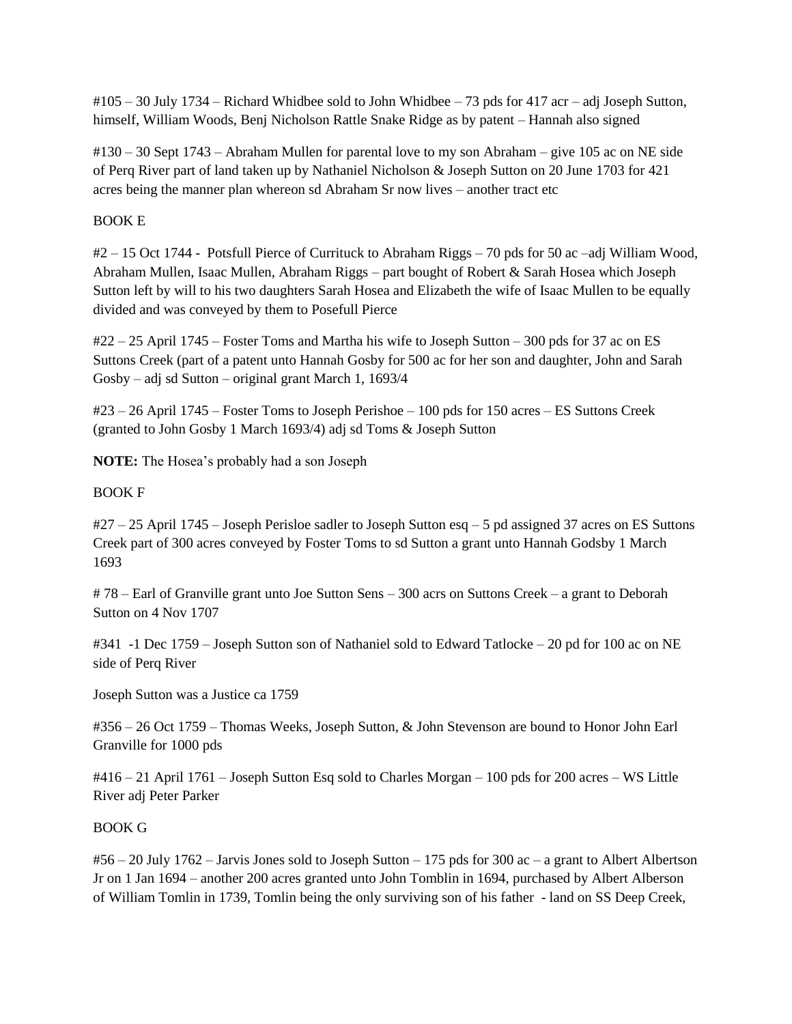#105 – 30 July 1734 – Richard Whidbee sold to John Whidbee – 73 pds for 417 acr – adj Joseph Sutton, himself, William Woods, Benj Nicholson Rattle Snake Ridge as by patent – Hannah also signed

#130 – 30 Sept 1743 – Abraham Mullen for parental love to my son Abraham – give 105 ac on NE side of Perq River part of land taken up by Nathaniel Nicholson & Joseph Sutton on 20 June 1703 for 421 acres being the manner plan whereon sd Abraham Sr now lives – another tract etc

# BOOK E

#2 – 15 Oct 1744 - Potsfull Pierce of Currituck to Abraham Riggs – 70 pds for 50 ac –adj William Wood, Abraham Mullen, Isaac Mullen, Abraham Riggs – part bought of Robert & Sarah Hosea which Joseph Sutton left by will to his two daughters Sarah Hosea and Elizabeth the wife of Isaac Mullen to be equally divided and was conveyed by them to Posefull Pierce

#22 – 25 April 1745 – Foster Toms and Martha his wife to Joseph Sutton – 300 pds for 37 ac on ES Suttons Creek (part of a patent unto Hannah Gosby for 500 ac for her son and daughter, John and Sarah Gosby – adj sd Sutton – original grant March 1, 1693/4

#23 – 26 April 1745 – Foster Toms to Joseph Perishoe – 100 pds for 150 acres – ES Suttons Creek (granted to John Gosby 1 March 1693/4) adj sd Toms & Joseph Sutton

**NOTE:** The Hosea's probably had a son Joseph

# BOOK F

#27 – 25 April 1745 – Joseph Perisloe sadler to Joseph Sutton esq – 5 pd assigned 37 acres on ES Suttons Creek part of 300 acres conveyed by Foster Toms to sd Sutton a grant unto Hannah Godsby 1 March 1693

# 78 – Earl of Granville grant unto Joe Sutton Sens – 300 acrs on Suttons Creek – a grant to Deborah Sutton on 4 Nov 1707

#341 -1 Dec 1759 – Joseph Sutton son of Nathaniel sold to Edward Tatlocke – 20 pd for 100 ac on NE side of Perq River

Joseph Sutton was a Justice ca 1759

#356 – 26 Oct 1759 – Thomas Weeks, Joseph Sutton, & John Stevenson are bound to Honor John Earl Granville for 1000 pds

#416 – 21 April 1761 – Joseph Sutton Esq sold to Charles Morgan – 100 pds for 200 acres – WS Little River adj Peter Parker

# BOOK G

 $#56 - 20$  July 1762 – Jarvis Jones sold to Joseph Sutton – 175 pds for 300 ac – a grant to Albert Albertson Jr on 1 Jan 1694 – another 200 acres granted unto John Tomblin in 1694, purchased by Albert Alberson of William Tomlin in 1739, Tomlin being the only surviving son of his father - land on SS Deep Creek,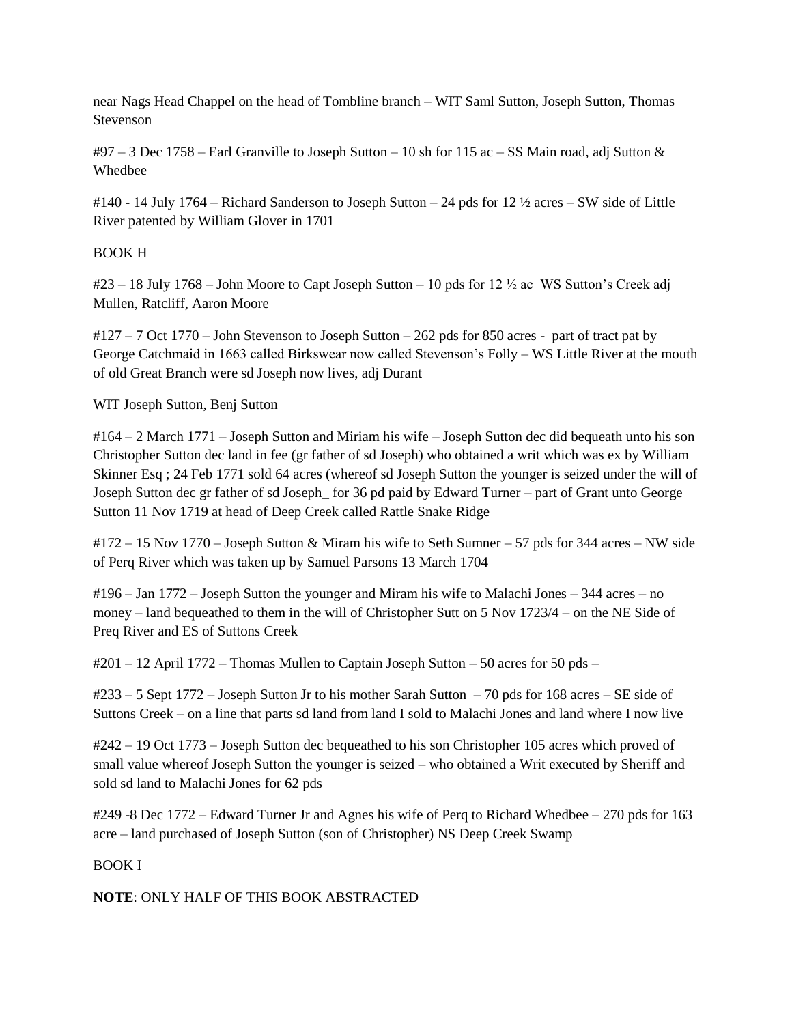near Nags Head Chappel on the head of Tombline branch – WIT Saml Sutton, Joseph Sutton, Thomas Stevenson

 $\text{\#97}-3$  Dec 1758 – Earl Granville to Joseph Sutton – 10 sh for 115 ac – SS Main road, adj Sutton & Whedbee

#140 - 14 July 1764 – Richard Sanderson to Joseph Sutton – 24 pds for 12 ½ acres – SW side of Little River patented by William Glover in 1701

# BOOK H

#23 – 18 July 1768 – John Moore to Capt Joseph Sutton – 10 pds for 12 ½ ac WS Sutton's Creek adj Mullen, Ratcliff, Aaron Moore

#127 – 7 Oct 1770 – John Stevenson to Joseph Sutton – 262 pds for 850 acres - part of tract pat by George Catchmaid in 1663 called Birkswear now called Stevenson's Folly – WS Little River at the mouth of old Great Branch were sd Joseph now lives, adj Durant

WIT Joseph Sutton, Benj Sutton

#164 – 2 March 1771 – Joseph Sutton and Miriam his wife – Joseph Sutton dec did bequeath unto his son Christopher Sutton dec land in fee (gr father of sd Joseph) who obtained a writ which was ex by William Skinner Esq ; 24 Feb 1771 sold 64 acres (whereof sd Joseph Sutton the younger is seized under the will of Joseph Sutton dec gr father of sd Joseph\_ for 36 pd paid by Edward Turner – part of Grant unto George Sutton 11 Nov 1719 at head of Deep Creek called Rattle Snake Ridge

#172 – 15 Nov 1770 – Joseph Sutton & Miram his wife to Seth Sumner – 57 pds for 344 acres – NW side of Perq River which was taken up by Samuel Parsons 13 March 1704

#196 – Jan 1772 – Joseph Sutton the younger and Miram his wife to Malachi Jones – 344 acres – no money – land bequeathed to them in the will of Christopher Sutt on 5 Nov 1723/4 – on the NE Side of Preq River and ES of Suttons Creek

#201 – 12 April 1772 – Thomas Mullen to Captain Joseph Sutton – 50 acres for 50 pds –

#233 – 5 Sept 1772 – Joseph Sutton Jr to his mother Sarah Sutton – 70 pds for 168 acres – SE side of Suttons Creek – on a line that parts sd land from land I sold to Malachi Jones and land where I now live

#242 – 19 Oct 1773 – Joseph Sutton dec bequeathed to his son Christopher 105 acres which proved of small value whereof Joseph Sutton the younger is seized – who obtained a Writ executed by Sheriff and sold sd land to Malachi Jones for 62 pds

#249 -8 Dec 1772 – Edward Turner Jr and Agnes his wife of Perq to Richard Whedbee – 270 pds for 163 acre – land purchased of Joseph Sutton (son of Christopher) NS Deep Creek Swamp

# BOOK I

**NOTE**: ONLY HALF OF THIS BOOK ABSTRACTED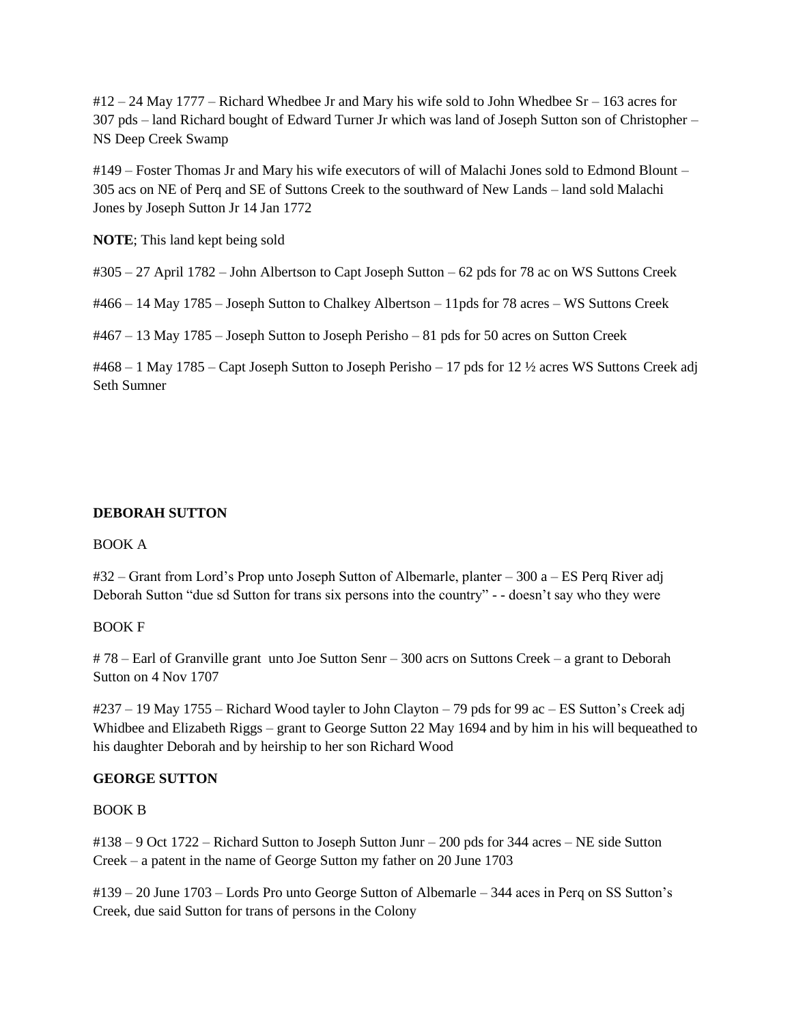$\frac{\text{H}}{2}$  – 24 May 1777 – Richard Whedbee Jr and Mary his wife sold to John Whedbee Sr – 163 acres for 307 pds – land Richard bought of Edward Turner Jr which was land of Joseph Sutton son of Christopher – NS Deep Creek Swamp

#149 – Foster Thomas Jr and Mary his wife executors of will of Malachi Jones sold to Edmond Blount – 305 acs on NE of Perq and SE of Suttons Creek to the southward of New Lands – land sold Malachi Jones by Joseph Sutton Jr 14 Jan 1772

**NOTE**; This land kept being sold

#305 – 27 April 1782 – John Albertson to Capt Joseph Sutton – 62 pds for 78 ac on WS Suttons Creek

#466 – 14 May 1785 – Joseph Sutton to Chalkey Albertson – 11pds for 78 acres – WS Suttons Creek

#467 – 13 May 1785 – Joseph Sutton to Joseph Perisho – 81 pds for 50 acres on Sutton Creek

#468 – 1 May 1785 – Capt Joseph Sutton to Joseph Perisho – 17 pds for 12 ½ acres WS Suttons Creek adj Seth Sumner

# **DEBORAH SUTTON**

### BOOK A

#32 – Grant from Lord's Prop unto Joseph Sutton of Albemarle, planter – 300 a – ES Perq River adj Deborah Sutton "due sd Sutton for trans six persons into the country" - - doesn't say who they were

### BOOK F

# 78 – Earl of Granville grant unto Joe Sutton Senr – 300 acrs on Suttons Creek – a grant to Deborah Sutton on 4 Nov 1707

#237 – 19 May 1755 – Richard Wood tayler to John Clayton – 79 pds for 99 ac – ES Sutton's Creek adj Whidbee and Elizabeth Riggs – grant to George Sutton 22 May 1694 and by him in his will bequeathed to his daughter Deborah and by heirship to her son Richard Wood

### **GEORGE SUTTON**

### BOOK B

#138 – 9 Oct 1722 – Richard Sutton to Joseph Sutton Junr – 200 pds for 344 acres – NE side Sutton Creek – a patent in the name of George Sutton my father on 20 June 1703

#139 – 20 June 1703 – Lords Pro unto George Sutton of Albemarle – 344 aces in Perq on SS Sutton's Creek, due said Sutton for trans of persons in the Colony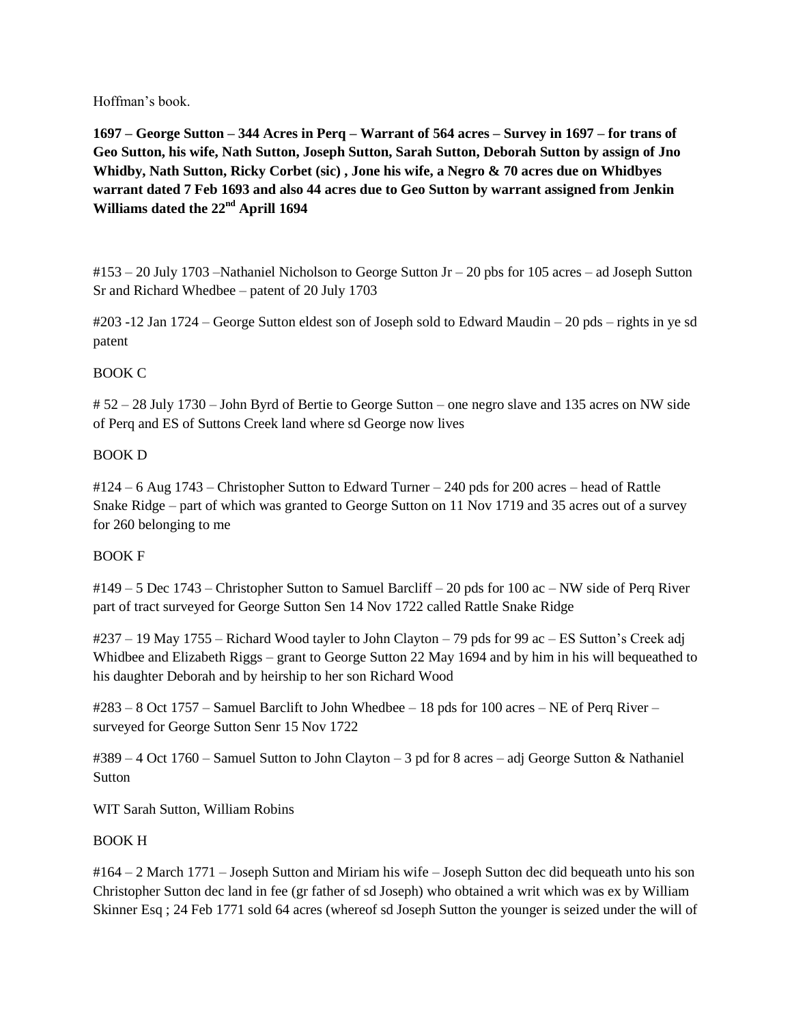Hoffman's book.

**1697 – George Sutton – 344 Acres in Perq – Warrant of 564 acres – Survey in 1697 – for trans of Geo Sutton, his wife, Nath Sutton, Joseph Sutton, Sarah Sutton, Deborah Sutton by assign of Jno Whidby, Nath Sutton, Ricky Corbet (sic) , Jone his wife, a Negro & 70 acres due on Whidbyes warrant dated 7 Feb 1693 and also 44 acres due to Geo Sutton by warrant assigned from Jenkin Williams dated the 22nd Aprill 1694**

#153 – 20 July 1703 –Nathaniel Nicholson to George Sutton Jr – 20 pbs for 105 acres – ad Joseph Sutton Sr and Richard Whedbee – patent of 20 July 1703

#203 -12 Jan 1724 – George Sutton eldest son of Joseph sold to Edward Maudin – 20 pds – rights in ye sd patent

# BOOK C

# 52 – 28 July 1730 – John Byrd of Bertie to George Sutton – one negro slave and 135 acres on NW side of Perq and ES of Suttons Creek land where sd George now lives

# BOOK D

#124 – 6 Aug 1743 – Christopher Sutton to Edward Turner – 240 pds for 200 acres – head of Rattle Snake Ridge – part of which was granted to George Sutton on 11 Nov 1719 and 35 acres out of a survey for 260 belonging to me

# BOOK F

#149 – 5 Dec 1743 – Christopher Sutton to Samuel Barcliff – 20 pds for 100 ac – NW side of Perq River part of tract surveyed for George Sutton Sen 14 Nov 1722 called Rattle Snake Ridge

#237 – 19 May 1755 – Richard Wood tayler to John Clayton – 79 pds for 99 ac – ES Sutton's Creek adj Whidbee and Elizabeth Riggs – grant to George Sutton 22 May 1694 and by him in his will bequeathed to his daughter Deborah and by heirship to her son Richard Wood

#283 – 8 Oct 1757 – Samuel Barclift to John Whedbee – 18 pds for 100 acres – NE of Perq River – surveyed for George Sutton Senr 15 Nov 1722

#389 – 4 Oct 1760 – Samuel Sutton to John Clayton – 3 pd for 8 acres – adj George Sutton & Nathaniel **Sutton** 

WIT Sarah Sutton, William Robins

# BOOK H

#164 – 2 March 1771 – Joseph Sutton and Miriam his wife – Joseph Sutton dec did bequeath unto his son Christopher Sutton dec land in fee (gr father of sd Joseph) who obtained a writ which was ex by William Skinner Esq ; 24 Feb 1771 sold 64 acres (whereof sd Joseph Sutton the younger is seized under the will of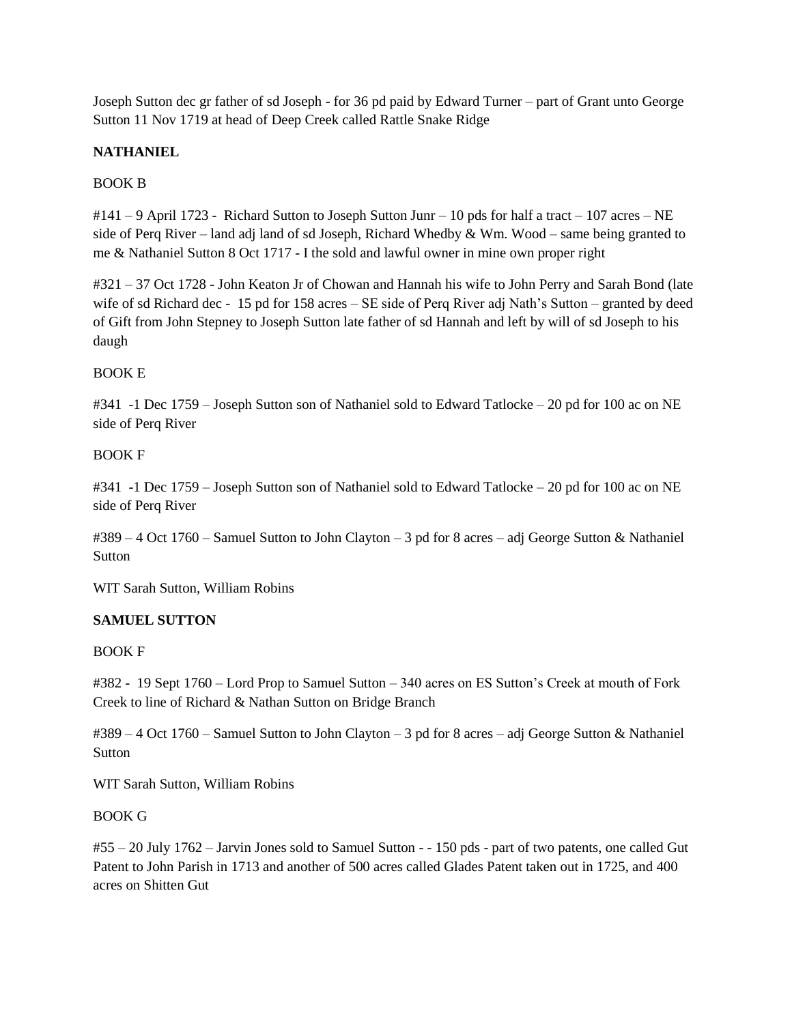Joseph Sutton dec gr father of sd Joseph - for 36 pd paid by Edward Turner – part of Grant unto George Sutton 11 Nov 1719 at head of Deep Creek called Rattle Snake Ridge

# **NATHANIEL**

# BOOK B

 $\#141 - 9$  April 1723 - Richard Sutton to Joseph Sutton Junr – 10 pds for half a tract – 107 acres – NE side of Perq River – land adj land of sd Joseph, Richard Whedby  $& Wm$ . Wood – same being granted to me & Nathaniel Sutton 8 Oct 1717 - I the sold and lawful owner in mine own proper right

#321 – 37 Oct 1728 - John Keaton Jr of Chowan and Hannah his wife to John Perry and Sarah Bond (late wife of sd Richard dec - 15 pd for 158 acres – SE side of Perq River adj Nath's Sutton – granted by deed of Gift from John Stepney to Joseph Sutton late father of sd Hannah and left by will of sd Joseph to his daugh

## BOOK E

#341 -1 Dec 1759 – Joseph Sutton son of Nathaniel sold to Edward Tatlocke – 20 pd for 100 ac on NE side of Perq River

## BOOK F

#341 -1 Dec 1759 – Joseph Sutton son of Nathaniel sold to Edward Tatlocke – 20 pd for 100 ac on NE side of Perq River

#389 – 4 Oct 1760 – Samuel Sutton to John Clayton – 3 pd for 8 acres – adj George Sutton & Nathaniel **Sutton** 

WIT Sarah Sutton, William Robins

# **SAMUEL SUTTON**

### BOOK F

#382 - 19 Sept 1760 – Lord Prop to Samuel Sutton – 340 acres on ES Sutton's Creek at mouth of Fork Creek to line of Richard & Nathan Sutton on Bridge Branch

#389 – 4 Oct 1760 – Samuel Sutton to John Clayton – 3 pd for 8 acres – adj George Sutton & Nathaniel Sutton

WIT Sarah Sutton, William Robins

### BOOK G

#55 – 20 July 1762 – Jarvin Jones sold to Samuel Sutton - - 150 pds - part of two patents, one called Gut Patent to John Parish in 1713 and another of 500 acres called Glades Patent taken out in 1725, and 400 acres on Shitten Gut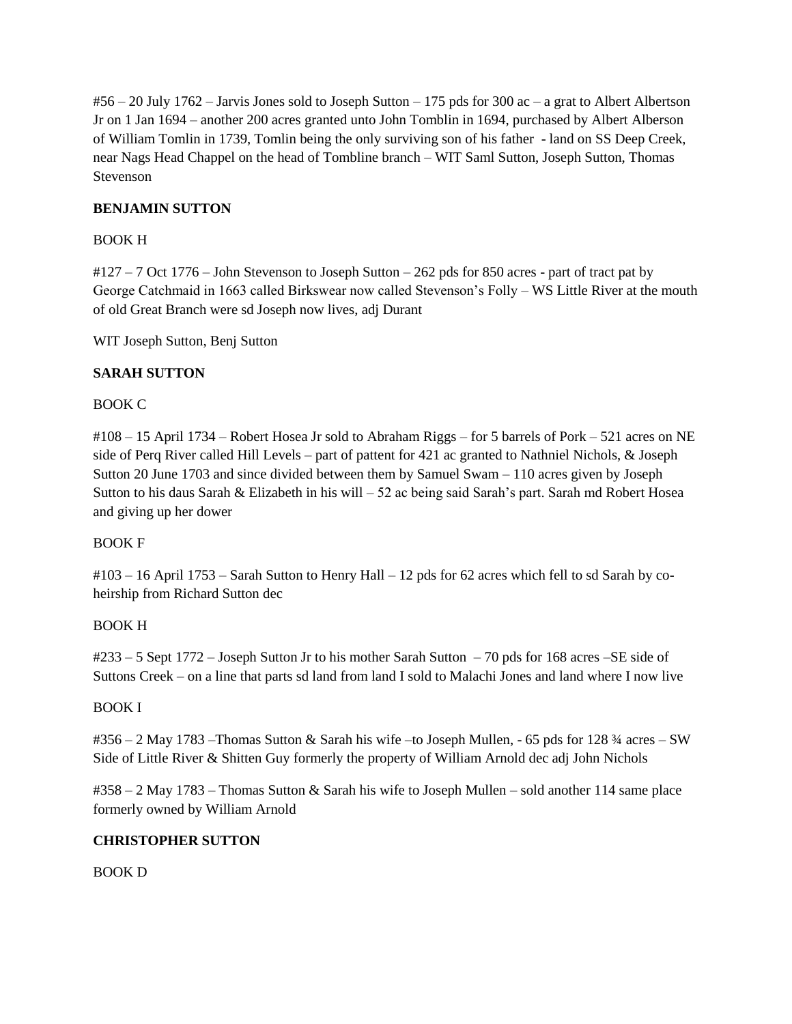$\#56 - 20$  July 1762 – Jarvis Jones sold to Joseph Sutton – 175 pds for 300 ac – a grat to Albert Albertson Jr on 1 Jan 1694 – another 200 acres granted unto John Tomblin in 1694, purchased by Albert Alberson of William Tomlin in 1739, Tomlin being the only surviving son of his father - land on SS Deep Creek, near Nags Head Chappel on the head of Tombline branch – WIT Saml Sutton, Joseph Sutton, Thomas Stevenson

# **BENJAMIN SUTTON**

## BOOK H

#127 – 7 Oct 1776 – John Stevenson to Joseph Sutton – 262 pds for 850 acres - part of tract pat by George Catchmaid in 1663 called Birkswear now called Stevenson's Folly – WS Little River at the mouth of old Great Branch were sd Joseph now lives, adj Durant

WIT Joseph Sutton, Benj Sutton

## **SARAH SUTTON**

## BOOK C

#108 – 15 April 1734 – Robert Hosea Jr sold to Abraham Riggs – for 5 barrels of Pork – 521 acres on NE side of Perq River called Hill Levels – part of pattent for 421 ac granted to Nathniel Nichols, & Joseph Sutton 20 June 1703 and since divided between them by Samuel Swam – 110 acres given by Joseph Sutton to his daus Sarah & Elizabeth in his will – 52 ac being said Sarah's part. Sarah md Robert Hosea and giving up her dower

### BOOK F

#103 – 16 April 1753 – Sarah Sutton to Henry Hall – 12 pds for 62 acres which fell to sd Sarah by coheirship from Richard Sutton dec

### BOOK H

#233 – 5 Sept 1772 – Joseph Sutton Jr to his mother Sarah Sutton – 70 pds for 168 acres –SE side of Suttons Creek – on a line that parts sd land from land I sold to Malachi Jones and land where I now live

### BOOK I

#356 – 2 May 1783 –Thomas Sutton & Sarah his wife –to Joseph Mullen, - 65 pds for 128 ¾ acres – SW Side of Little River & Shitten Guy formerly the property of William Arnold dec adj John Nichols

#358 – 2 May 1783 – Thomas Sutton & Sarah his wife to Joseph Mullen – sold another 114 same place formerly owned by William Arnold

## **CHRISTOPHER SUTTON**

BOOK D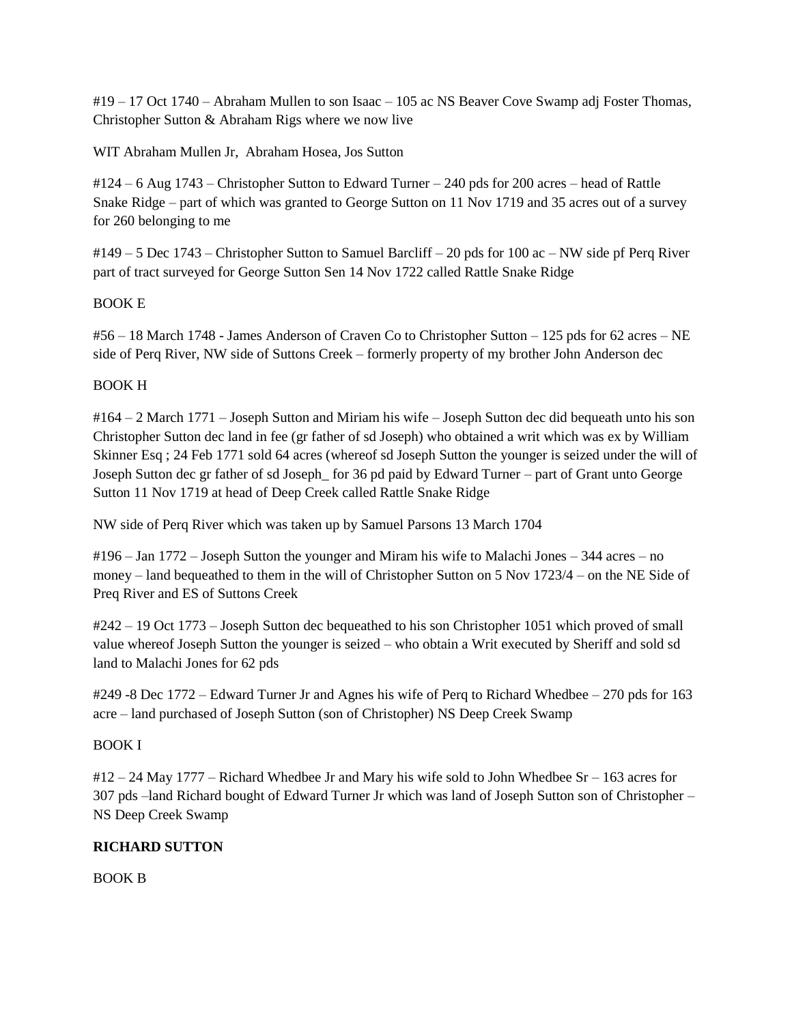#19 – 17 Oct 1740 – Abraham Mullen to son Isaac – 105 ac NS Beaver Cove Swamp adj Foster Thomas, Christopher Sutton & Abraham Rigs where we now live

WIT Abraham Mullen Jr, Abraham Hosea, Jos Sutton

#124 – 6 Aug 1743 – Christopher Sutton to Edward Turner – 240 pds for 200 acres – head of Rattle Snake Ridge – part of which was granted to George Sutton on 11 Nov 1719 and 35 acres out of a survey for 260 belonging to me

#149 – 5 Dec 1743 – Christopher Sutton to Samuel Barcliff – 20 pds for 100 ac – NW side pf Perq River part of tract surveyed for George Sutton Sen 14 Nov 1722 called Rattle Snake Ridge

## BOOK E

#56 – 18 March 1748 - James Anderson of Craven Co to Christopher Sutton – 125 pds for 62 acres – NE side of Perq River, NW side of Suttons Creek – formerly property of my brother John Anderson dec

## BOOK H

#164 – 2 March 1771 – Joseph Sutton and Miriam his wife – Joseph Sutton dec did bequeath unto his son Christopher Sutton dec land in fee (gr father of sd Joseph) who obtained a writ which was ex by William Skinner Esq ; 24 Feb 1771 sold 64 acres (whereof sd Joseph Sutton the younger is seized under the will of Joseph Sutton dec gr father of sd Joseph\_ for 36 pd paid by Edward Turner – part of Grant unto George Sutton 11 Nov 1719 at head of Deep Creek called Rattle Snake Ridge

NW side of Perq River which was taken up by Samuel Parsons 13 March 1704

#196 – Jan 1772 – Joseph Sutton the younger and Miram his wife to Malachi Jones – 344 acres – no money – land bequeathed to them in the will of Christopher Sutton on 5 Nov 1723/4 – on the NE Side of Preq River and ES of Suttons Creek

#242 – 19 Oct 1773 – Joseph Sutton dec bequeathed to his son Christopher 1051 which proved of small value whereof Joseph Sutton the younger is seized – who obtain a Writ executed by Sheriff and sold sd land to Malachi Jones for 62 pds

#249 -8 Dec 1772 – Edward Turner Jr and Agnes his wife of Perq to Richard Whedbee – 270 pds for 163 acre – land purchased of Joseph Sutton (son of Christopher) NS Deep Creek Swamp

### BOOK I

 $\frac{\text{H}}{2}$  – 24 May 1777 – Richard Whedbee Jr and Mary his wife sold to John Whedbee Sr – 163 acres for 307 pds –land Richard bought of Edward Turner Jr which was land of Joseph Sutton son of Christopher – NS Deep Creek Swamp

# **RICHARD SUTTON**

BOOK B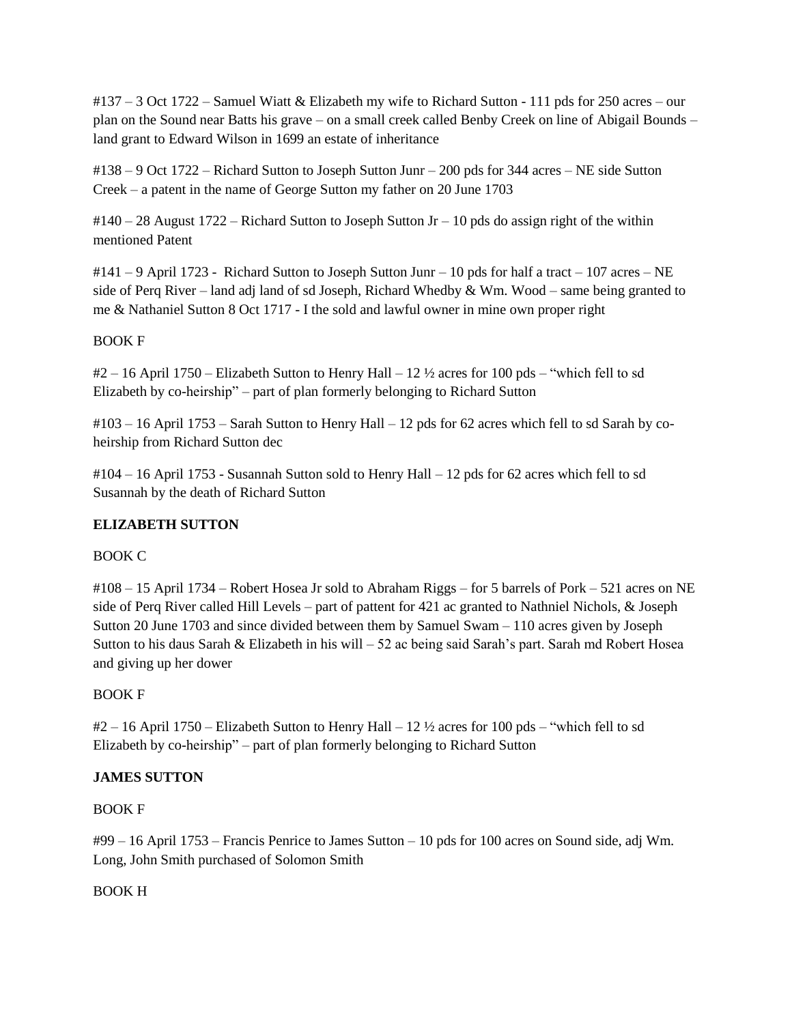#137 – 3 Oct 1722 – Samuel Wiatt & Elizabeth my wife to Richard Sutton - 111 pds for 250 acres – our plan on the Sound near Batts his grave – on a small creek called Benby Creek on line of Abigail Bounds – land grant to Edward Wilson in 1699 an estate of inheritance

#138 – 9 Oct 1722 – Richard Sutton to Joseph Sutton Junr – 200 pds for 344 acres – NE side Sutton Creek – a patent in the name of George Sutton my father on 20 June 1703

 $\text{\#140} - 28$  August 1722 – Richard Sutton to Joseph Sutton Jr – 10 pds do assign right of the within mentioned Patent

 $\#141 - 9$  April 1723 - Richard Sutton to Joseph Sutton Junr – 10 pds for half a tract – 107 acres – NE side of Perq River – land adj land of sd Joseph, Richard Whedby & Wm. Wood – same being granted to me & Nathaniel Sutton 8 Oct 1717 - I the sold and lawful owner in mine own proper right

# BOOK F

 $\#2 - 16$  April 1750 – Elizabeth Sutton to Henry Hall – 12  $\frac{1}{2}$  acres for 100 pds – "which fell to sd Elizabeth by co-heirship" – part of plan formerly belonging to Richard Sutton

#103 – 16 April 1753 – Sarah Sutton to Henry Hall – 12 pds for 62 acres which fell to sd Sarah by coheirship from Richard Sutton dec

#104 – 16 April 1753 - Susannah Sutton sold to Henry Hall – 12 pds for 62 acres which fell to sd Susannah by the death of Richard Sutton

# **ELIZABETH SUTTON**

# BOOK C

#108 – 15 April 1734 – Robert Hosea Jr sold to Abraham Riggs – for 5 barrels of Pork – 521 acres on NE side of Perq River called Hill Levels – part of pattent for 421 ac granted to Nathniel Nichols, & Joseph Sutton 20 June 1703 and since divided between them by Samuel Swam – 110 acres given by Joseph Sutton to his daus Sarah & Elizabeth in his will  $-52$  ac being said Sarah's part. Sarah md Robert Hosea and giving up her dower

# BOOK F

 $\#2 - 16$  April 1750 – Elizabeth Sutton to Henry Hall – 12  $\frac{1}{2}$  acres for 100 pds – "which fell to sd Elizabeth by co-heirship" – part of plan formerly belonging to Richard Sutton

# **JAMES SUTTON**

# BOOK F

#99 – 16 April 1753 – Francis Penrice to James Sutton – 10 pds for 100 acres on Sound side, adj Wm. Long, John Smith purchased of Solomon Smith

# BOOK H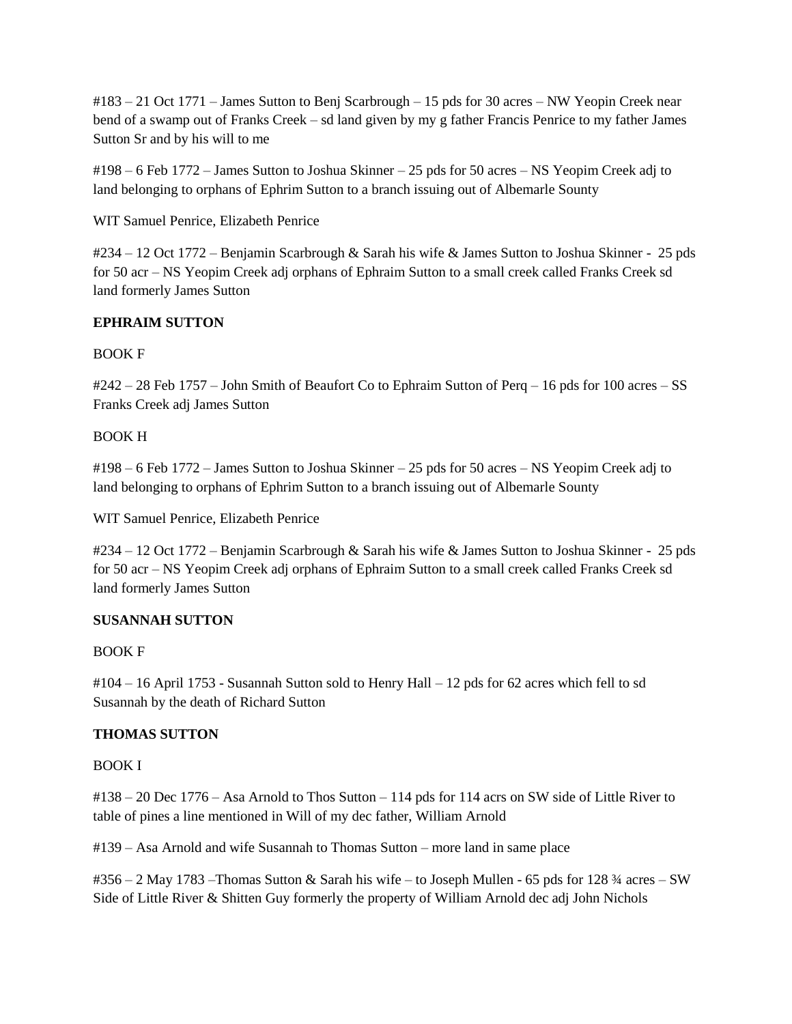#183 – 21 Oct 1771 – James Sutton to Benj Scarbrough – 15 pds for 30 acres – NW Yeopin Creek near bend of a swamp out of Franks Creek – sd land given by my g father Francis Penrice to my father James Sutton Sr and by his will to me

#198 – 6 Feb 1772 – James Sutton to Joshua Skinner – 25 pds for 50 acres – NS Yeopim Creek adj to land belonging to orphans of Ephrim Sutton to a branch issuing out of Albemarle Sounty

WIT Samuel Penrice, Elizabeth Penrice

#234 – 12 Oct 1772 – Benjamin Scarbrough & Sarah his wife & James Sutton to Joshua Skinner - 25 pds for 50 acr – NS Yeopim Creek adj orphans of Ephraim Sutton to a small creek called Franks Creek sd land formerly James Sutton

# **EPHRAIM SUTTON**

# BOOK F

#242 – 28 Feb 1757 – John Smith of Beaufort Co to Ephraim Sutton of Perq – 16 pds for 100 acres – SS Franks Creek adj James Sutton

# BOOK H

#198 – 6 Feb 1772 – James Sutton to Joshua Skinner – 25 pds for 50 acres – NS Yeopim Creek adj to land belonging to orphans of Ephrim Sutton to a branch issuing out of Albemarle Sounty

WIT Samuel Penrice, Elizabeth Penrice

#234 – 12 Oct 1772 – Benjamin Scarbrough & Sarah his wife & James Sutton to Joshua Skinner - 25 pds for 50 acr – NS Yeopim Creek adj orphans of Ephraim Sutton to a small creek called Franks Creek sd land formerly James Sutton

# **SUSANNAH SUTTON**

# BOOK F

#104 – 16 April 1753 - Susannah Sutton sold to Henry Hall – 12 pds for 62 acres which fell to sd Susannah by the death of Richard Sutton

# **THOMAS SUTTON**

BOOK I

#138 – 20 Dec 1776 – Asa Arnold to Thos Sutton – 114 pds for 114 acrs on SW side of Little River to table of pines a line mentioned in Will of my dec father, William Arnold

#139 – Asa Arnold and wife Susannah to Thomas Sutton – more land in same place

#356 – 2 May 1783 –Thomas Sutton & Sarah his wife – to Joseph Mullen - 65 pds for 128 ¾ acres – SW Side of Little River & Shitten Guy formerly the property of William Arnold dec adj John Nichols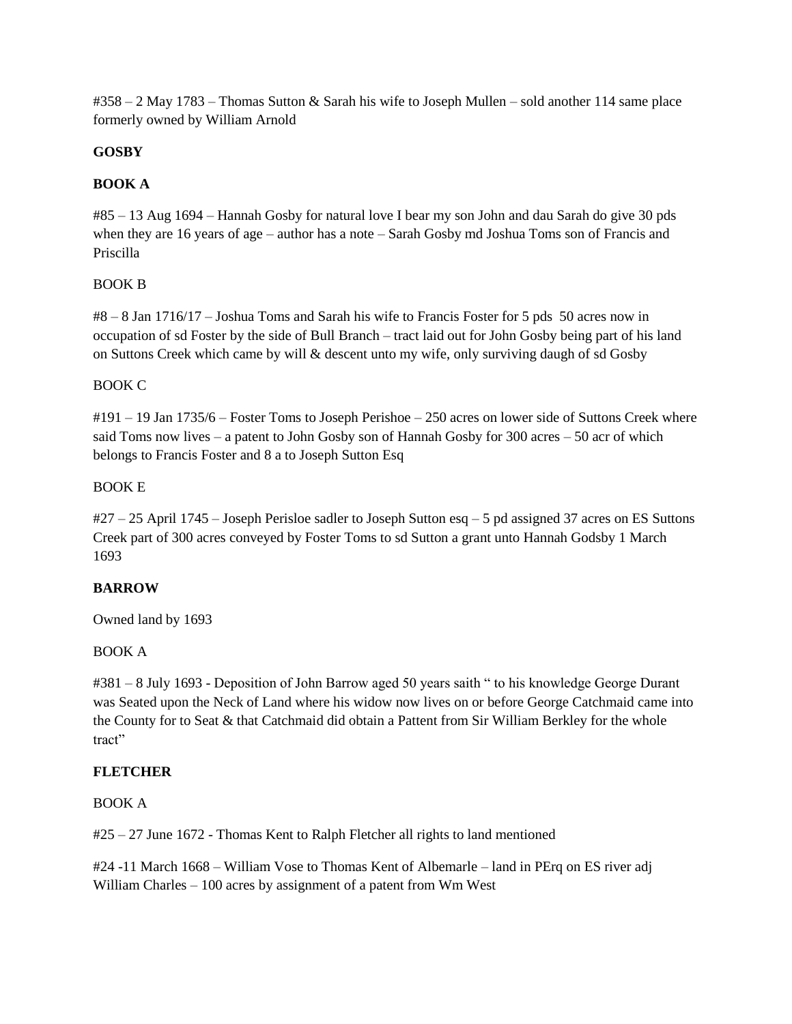#358 – 2 May 1783 – Thomas Sutton & Sarah his wife to Joseph Mullen – sold another 114 same place formerly owned by William Arnold

# **GOSBY**

## **BOOK A**

#85 – 13 Aug 1694 – Hannah Gosby for natural love I bear my son John and dau Sarah do give 30 pds when they are 16 years of age – author has a note – Sarah Gosby md Joshua Toms son of Francis and Priscilla

## BOOK B

#8 – 8 Jan 1716/17 – Joshua Toms and Sarah his wife to Francis Foster for 5 pds 50 acres now in occupation of sd Foster by the side of Bull Branch – tract laid out for John Gosby being part of his land on Suttons Creek which came by will & descent unto my wife, only surviving daugh of sd Gosby

## BOOK C

#191 – 19 Jan 1735/6 – Foster Toms to Joseph Perishoe – 250 acres on lower side of Suttons Creek where said Toms now lives – a patent to John Gosby son of Hannah Gosby for 300 acres – 50 acr of which belongs to Francis Foster and 8 a to Joseph Sutton Esq

## BOOK E

#27 – 25 April 1745 – Joseph Perisloe sadler to Joseph Sutton esq – 5 pd assigned 37 acres on ES Suttons Creek part of 300 acres conveyed by Foster Toms to sd Sutton a grant unto Hannah Godsby 1 March 1693

# **BARROW**

Owned land by 1693

### BOOK A

#381 – 8 July 1693 - Deposition of John Barrow aged 50 years saith " to his knowledge George Durant was Seated upon the Neck of Land where his widow now lives on or before George Catchmaid came into the County for to Seat & that Catchmaid did obtain a Pattent from Sir William Berkley for the whole tract"

### **FLETCHER**

### BOOK A

#25 – 27 June 1672 - Thomas Kent to Ralph Fletcher all rights to land mentioned

#24 -11 March 1668 – William Vose to Thomas Kent of Albemarle – land in PErq on ES river adj William Charles – 100 acres by assignment of a patent from Wm West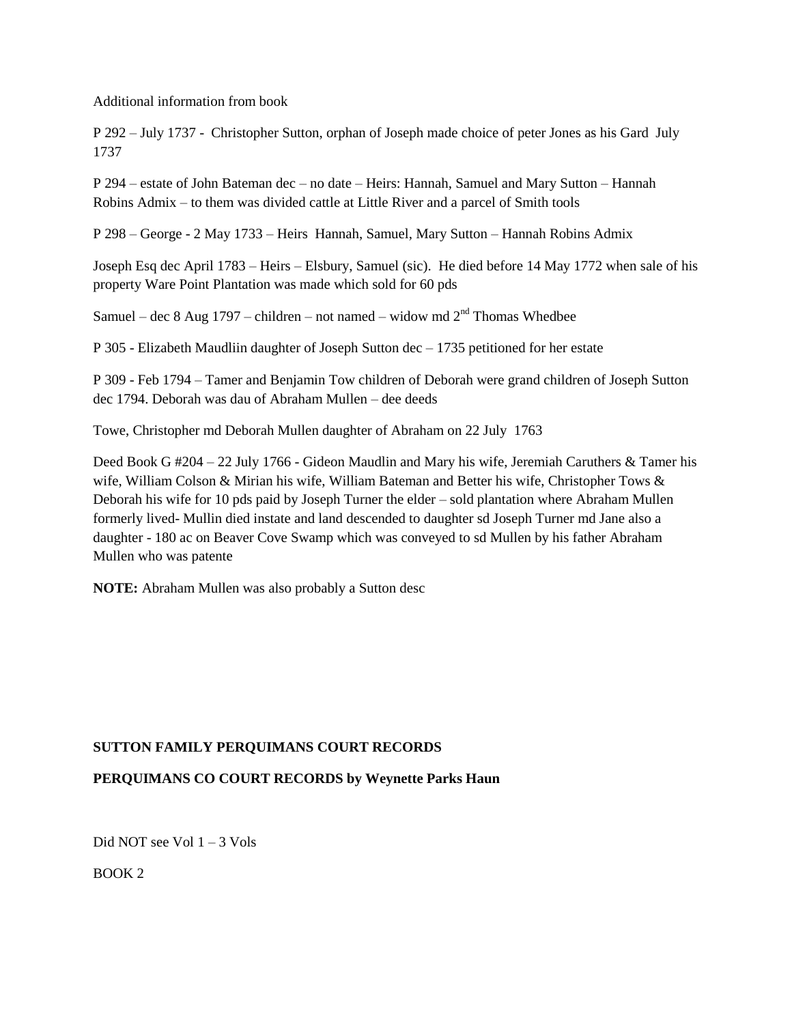Additional information from book

P 292 – July 1737 - Christopher Sutton, orphan of Joseph made choice of peter Jones as his Gard July 1737

P 294 – estate of John Bateman dec – no date – Heirs: Hannah, Samuel and Mary Sutton – Hannah Robins Admix – to them was divided cattle at Little River and a parcel of Smith tools

P 298 – George - 2 May 1733 – Heirs Hannah, Samuel, Mary Sutton – Hannah Robins Admix

Joseph Esq dec April 1783 – Heirs – Elsbury, Samuel (sic). He died before 14 May 1772 when sale of his property Ware Point Plantation was made which sold for 60 pds

Samuel – dec 8 Aug 1797 – children – not named – widow md  $2<sup>nd</sup>$  Thomas Whedbee

P 305 - Elizabeth Maudliin daughter of Joseph Sutton dec – 1735 petitioned for her estate

P 309 - Feb 1794 – Tamer and Benjamin Tow children of Deborah were grand children of Joseph Sutton dec 1794. Deborah was dau of Abraham Mullen – dee deeds

Towe, Christopher md Deborah Mullen daughter of Abraham on 22 July 1763

Deed Book G #204 – 22 July 1766 - Gideon Maudlin and Mary his wife, Jeremiah Caruthers & Tamer his wife, William Colson & Mirian his wife, William Bateman and Better his wife, Christopher Tows & Deborah his wife for 10 pds paid by Joseph Turner the elder – sold plantation where Abraham Mullen formerly lived- Mullin died instate and land descended to daughter sd Joseph Turner md Jane also a daughter - 180 ac on Beaver Cove Swamp which was conveyed to sd Mullen by his father Abraham Mullen who was patente

**NOTE:** Abraham Mullen was also probably a Sutton desc

## **SUTTON FAMILY PERQUIMANS COURT RECORDS**

## **PERQUIMANS CO COURT RECORDS by Weynette Parks Haun**

Did NOT see Vol 1 – 3 Vols

BOOK 2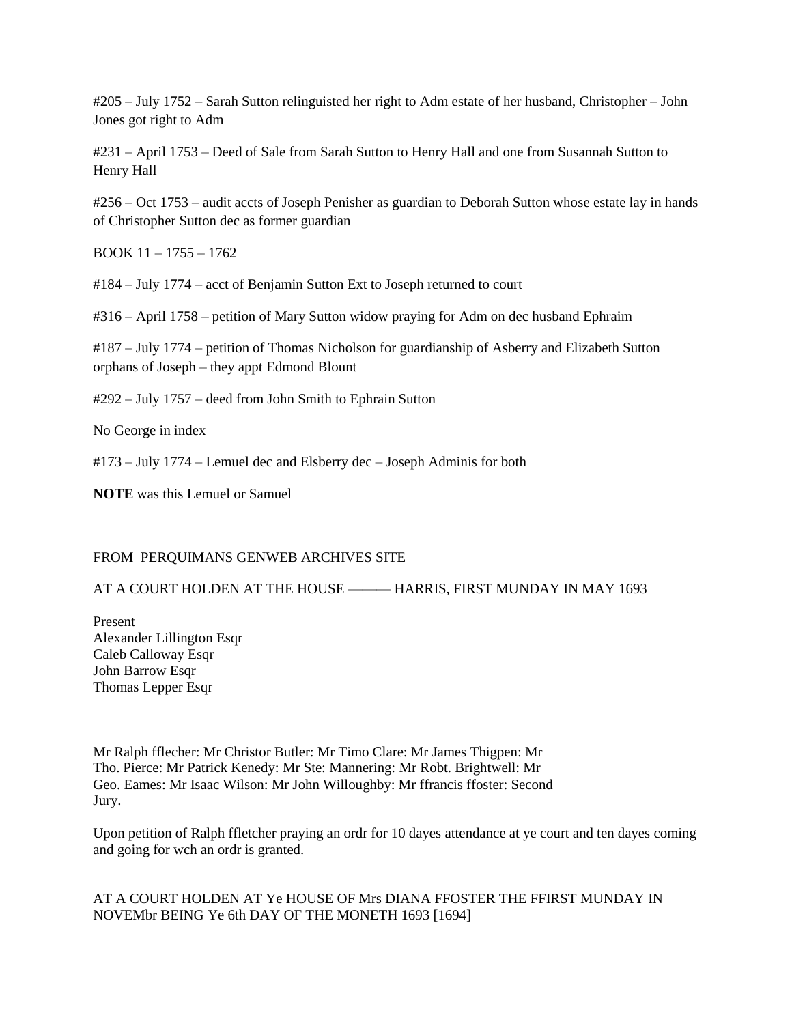#205 – July 1752 – Sarah Sutton relinguisted her right to Adm estate of her husband, Christopher – John Jones got right to Adm

#231 – April 1753 – Deed of Sale from Sarah Sutton to Henry Hall and one from Susannah Sutton to Henry Hall

#256 – Oct 1753 – audit accts of Joseph Penisher as guardian to Deborah Sutton whose estate lay in hands of Christopher Sutton dec as former guardian

BOOK 11 – 1755 – 1762

#184 – July 1774 – acct of Benjamin Sutton Ext to Joseph returned to court

#316 – April 1758 – petition of Mary Sutton widow praying for Adm on dec husband Ephraim

#187 – July 1774 – petition of Thomas Nicholson for guardianship of Asberry and Elizabeth Sutton orphans of Joseph – they appt Edmond Blount

#292 – July 1757 – deed from John Smith to Ephrain Sutton

No George in index

#173 – July 1774 – Lemuel dec and Elsberry dec – Joseph Adminis for both

**NOTE** was this Lemuel or Samuel

### FROM PERQUIMANS GENWEB ARCHIVES SITE

#### AT A COURT HOLDEN AT THE HOUSE ——— HARRIS, FIRST MUNDAY IN MAY 1693

Present Alexander Lillington Esqr Caleb Calloway Esqr John Barrow Esqr Thomas Lepper Esqr

Mr Ralph fflecher: Mr Christor Butler: Mr Timo Clare: Mr James Thigpen: Mr Tho. Pierce: Mr Patrick Kenedy: Mr Ste: Mannering: Mr Robt. Brightwell: Mr Geo. Eames: Mr Isaac Wilson: Mr John Willoughby: Mr ffrancis ffoster: Second Jury.

Upon petition of Ralph ffletcher praying an ordr for 10 dayes attendance at ye court and ten dayes coming and going for wch an ordr is granted.

## AT A COURT HOLDEN AT Ye HOUSE OF Mrs DIANA FFOSTER THE FFIRST MUNDAY IN NOVEMbr BEING Ye 6th DAY OF THE MONETH 1693 [1694]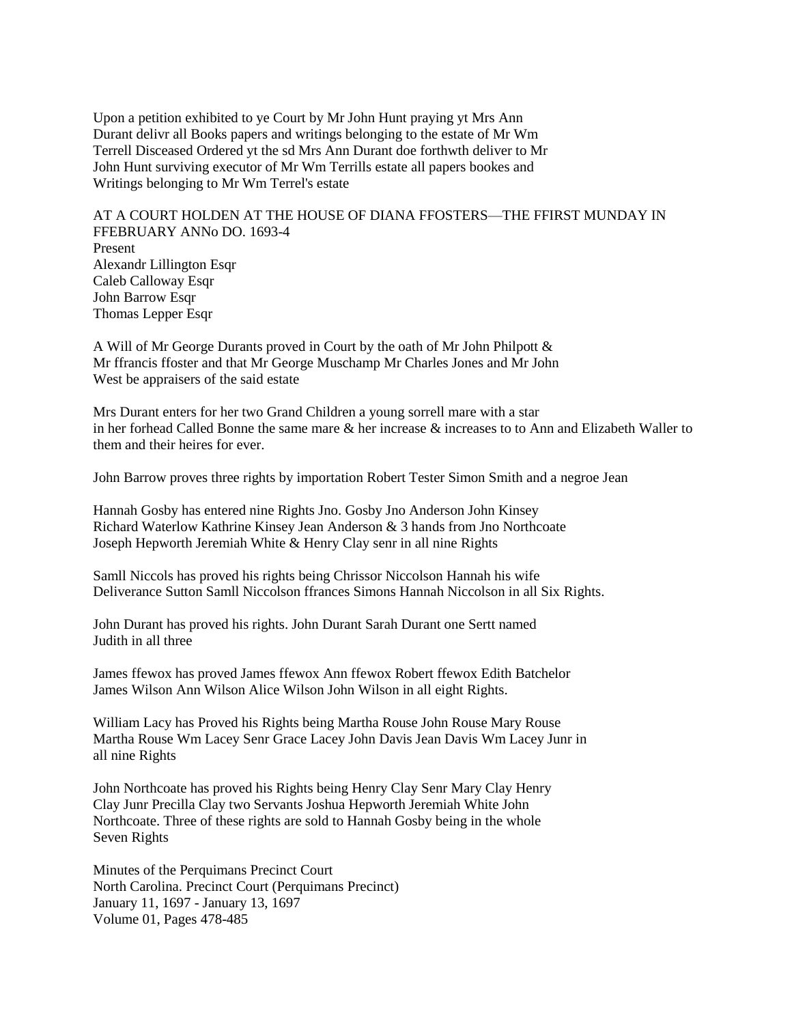Upon a petition exhibited to ye Court by Mr John Hunt praying yt Mrs Ann Durant delivr all Books papers and writings belonging to the estate of Mr Wm Terrell Disceased Ordered yt the sd Mrs Ann Durant doe forthwth deliver to Mr John Hunt surviving executor of Mr Wm Terrills estate all papers bookes and Writings belonging to Mr Wm Terrel's estate

AT A COURT HOLDEN AT THE HOUSE OF DIANA FFOSTERS—THE FFIRST MUNDAY IN FFEBRUARY ANNo DO. 1693-4 Present Alexandr Lillington Esqr Caleb Calloway Esqr John Barrow Esqr Thomas Lepper Esqr

A Will of Mr George Durants proved in Court by the oath of Mr John Philpott & Mr ffrancis ffoster and that Mr George Muschamp Mr Charles Jones and Mr John West be appraisers of the said estate

Mrs Durant enters for her two Grand Children a young sorrell mare with a star in her forhead Called Bonne the same mare & her increase & increases to to Ann and Elizabeth Waller to them and their heires for ever.

John Barrow proves three rights by importation Robert Tester Simon Smith and a negroe Jean

Hannah Gosby has entered nine Rights Jno. Gosby Jno Anderson John Kinsey Richard Waterlow Kathrine Kinsey Jean Anderson & 3 hands from Jno Northcoate Joseph Hepworth Jeremiah White & Henry Clay senr in all nine Rights

Samll Niccols has proved his rights being Chrissor Niccolson Hannah his wife Deliverance Sutton Samll Niccolson ffrances Simons Hannah Niccolson in all Six Rights.

John Durant has proved his rights. John Durant Sarah Durant one Sertt named Judith in all three

James ffewox has proved James ffewox Ann ffewox Robert ffewox Edith Batchelor James Wilson Ann Wilson Alice Wilson John Wilson in all eight Rights.

William Lacy has Proved his Rights being Martha Rouse John Rouse Mary Rouse Martha Rouse Wm Lacey Senr Grace Lacey John Davis Jean Davis Wm Lacey Junr in all nine Rights

John Northcoate has proved his Rights being Henry Clay Senr Mary Clay Henry Clay Junr Precilla Clay two Servants Joshua Hepworth Jeremiah White John Northcoate. Three of these rights are sold to Hannah Gosby being in the whole Seven Rights

Minutes of the Perquimans Precinct Court North Carolina. Precinct Court (Perquimans Precinct) January 11, 1697 - January 13, 1697 Volume 01, Pages 478-485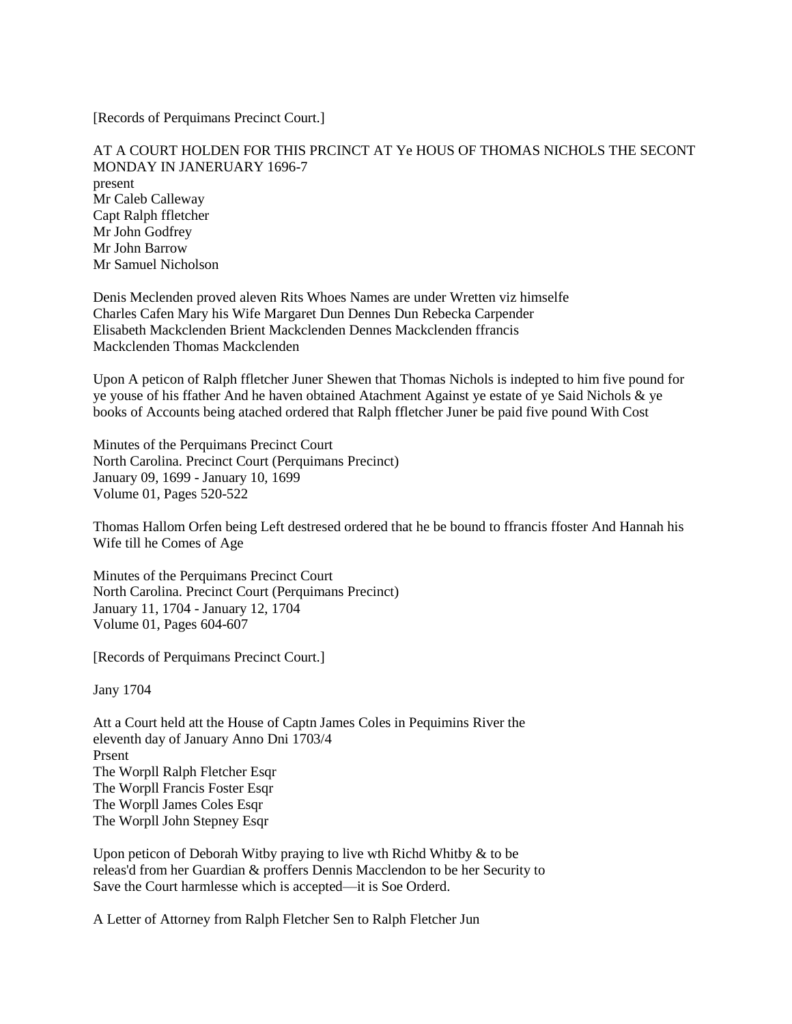[Records of Perquimans Precinct Court.]

AT A COURT HOLDEN FOR THIS PRCINCT AT Ye HOUS OF THOMAS NICHOLS THE SECONT MONDAY IN JANERUARY 1696-7 present Mr Caleb Calleway Capt Ralph ffletcher Mr John Godfrey Mr John Barrow Mr Samuel Nicholson

Denis Meclenden proved aleven Rits Whoes Names are under Wretten viz himselfe Charles Cafen Mary his Wife Margaret Dun Dennes Dun Rebecka Carpender Elisabeth Mackclenden Brient Mackclenden Dennes Mackclenden ffrancis Mackclenden Thomas Mackclenden

Upon A peticon of Ralph ffletcher Juner Shewen that Thomas Nichols is indepted to him five pound for ye youse of his ffather And he haven obtained Atachment Against ye estate of ye Said Nichols & ye books of Accounts being atached ordered that Ralph ffletcher Juner be paid five pound With Cost

Minutes of the Perquimans Precinct Court North Carolina. Precinct Court (Perquimans Precinct) January 09, 1699 - January 10, 1699 Volume 01, Pages 520-522

Thomas Hallom Orfen being Left destresed ordered that he be bound to ffrancis ffoster And Hannah his Wife till he Comes of Age

Minutes of the Perquimans Precinct Court North Carolina. Precinct Court (Perquimans Precinct) January 11, 1704 - January 12, 1704 Volume 01, Pages 604-607

[Records of Perquimans Precinct Court.]

Jany 1704

Att a Court held att the House of Captn James Coles in Pequimins River the eleventh day of January Anno Dni 1703/4 Prsent The Worpll Ralph Fletcher Esqr The Worpll Francis Foster Esqr The Worpll James Coles Esqr The Worpll John Stepney Esqr

Upon peticon of Deborah Witby praying to live wth Richd Whitby & to be releas'd from her Guardian & proffers Dennis Macclendon to be her Security to Save the Court harmlesse which is accepted—it is Soe Orderd.

A Letter of Attorney from Ralph Fletcher Sen to Ralph Fletcher Jun